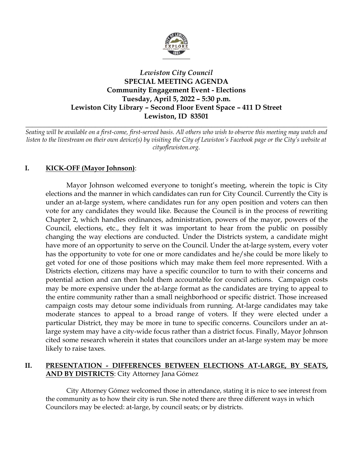

# *Lewiston City Council* **SPECIAL MEETING AGENDA Community Engagement Event - Elections Tuesday, April 5, 2022 – 5:30 p.m. Lewiston City Library – Second Floor Event Space – 411 D Street Lewiston, ID 83501**

*Seating will be available on a first-come, first-served basis. All others who wish to observe this meeting may watch and listen to the livestream on their own device(s) by visiting the City of Lewiston's Facebook page or the City's website at cityoflewiston.org.*

*\_\_\_\_\_\_\_\_\_\_\_\_\_\_\_\_\_\_\_\_\_\_\_\_\_\_\_\_\_\_\_\_\_\_\_\_\_\_\_\_\_\_\_\_\_\_\_\_\_\_\_\_\_\_\_\_\_\_\_\_\_\_\_\_\_\_\_\_\_\_\_\_\_\_\_\_\_\_\_\_\_\_\_\_\_\_\_\_\_\_\_*

# **I. KICK-OFF (Mayor Johnson)**:

Mayor Johnson welcomed everyone to tonight's meeting, wherein the topic is City elections and the manner in which candidates can run for City Council. Currently the City is under an at-large system, where candidates run for any open position and voters can then vote for any candidates they would like. Because the Council is in the process of rewriting Chapter 2, which handles ordinances, administration, powers of the mayor, powers of the Council, elections, etc., they felt it was important to hear from the public on possibly changing the way elections are conducted. Under the Districts system, a candidate might have more of an opportunity to serve on the Council. Under the at-large system, every voter has the opportunity to vote for one or more candidates and he/she could be more likely to get voted for one of those positions which may make them feel more represented. With a Districts election, citizens may have a specific councilor to turn to with their concerns and potential action and can then hold them accountable for council actions. Campaign costs may be more expensive under the at-large format as the candidates are trying to appeal to the entire community rather than a small neighborhood or specific district. Those increased campaign costs may detour some individuals from running. At-large candidates may take moderate stances to appeal to a broad range of voters. If they were elected under a particular District, they may be more in tune to specific concerns. Councilors under an atlarge system may have a city-wide focus rather than a district focus. Finally, Mayor Johnson cited some research wherein it states that councilors under an at-large system may be more likely to raise taxes.

## **II. PRESENTATION - DIFFERENCES BETWEEN ELECTIONS AT-LARGE, BY SEATS, AND BY DISTRICTS**: City Attorney Jana Gómez

City Attorney Gómez welcomed those in attendance, stating it is nice to see interest from the community as to how their city is run. She noted there are three different ways in which Councilors may be elected: at-large, by council seats; or by districts.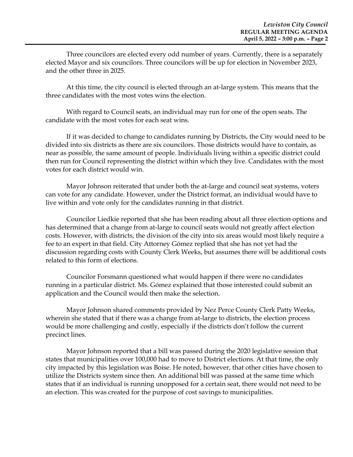Three councilors are elected every odd number of years. Currently, there is a separately elected Mayor and six councilors. Three councilors will be up for election in November 2023, and the other three in 2025.

At this time, the city council is elected through an at-large system. This means that the three candidates with the most votes wins the election.

With regard to Council seats, an individual may run for one of the open seats. The candidate with the most votes for each seat wins.

If it was decided to change to candidates running by Districts, the City would need to be divided into six districts as there are six councilors. Those districts would have to contain, as near as possible, the same amount of people. Individuals living within a specific district could then run for Council representing the district within which they live. Candidates with the most votes for each district would win.

Mayor Johnson reiterated that under both the at-large and council seat systems, voters can vote for any candidate. However, under the District format, an individual would have to live within and vote only for the candidates running in that district.

Councilor Liedkie reported that she has been reading about all three election options and has determined that a change from at-large to council seats would not greatly affect election costs. However, with districts, the division of the city into six areas would most likely require a fee to an expert in that field. City Attorney Gómez replied that she has not yet had the discussion regarding costs with County Clerk Weeks, but assumes there will be additional costs related to this form of elections.

Councilor Forsmann questioned what would happen if there were no candidates running in a particular district. Ms. Gómez explained that those interested could submit an application and the Council would then make the selection.

Mayor Johnson shared comments provided by Nez Perce County Clerk Patty Weeks, wherein she stated that if there was a change from at-large to districts, the election process would be more challenging and costly, especially if the districts don't follow the current precinct lines.

Mayor Johnson reported that a bill was passed during the 2020 legislative session that states that municipalities over 100,000 had to move to District elections. At that time, the only city impacted by this legislation was Boise. He noted, however, that other cities have chosen to utilize the Districts system since then. An additional bill was passed at the same time which states that if an individual is running unopposed for a certain seat, there would not need to be an election. This was created for the purpose of cost savings to municipalities.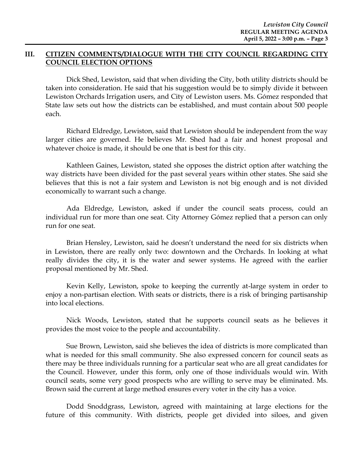### **III. CITIZEN COMMENTS/DIALOGUE WITH THE CITY COUNCIL REGARDING CITY COUNCIL ELECTION OPTIONS**

Dick Shed, Lewiston, said that when dividing the City, both utility districts should be taken into consideration. He said that his suggestion would be to simply divide it between Lewiston Orchards Irrigation users, and City of Lewiston users. Ms. Gómez responded that State law sets out how the districts can be established, and must contain about 500 people each.

Richard Eldredge, Lewiston, said that Lewiston should be independent from the way larger cities are governed. He believes Mr. Shed had a fair and honest proposal and whatever choice is made, it should be one that is best for this city.

Kathleen Gaines, Lewiston, stated she opposes the district option after watching the way districts have been divided for the past several years within other states. She said she believes that this is not a fair system and Lewiston is not big enough and is not divided economically to warrant such a change.

Ada Eldredge, Lewiston, asked if under the council seats process, could an individual run for more than one seat. City Attorney Gómez replied that a person can only run for one seat.

Brian Hensley, Lewiston, said he doesn't understand the need for six districts when in Lewiston, there are really only two: downtown and the Orchards. In looking at what really divides the city, it is the water and sewer systems. He agreed with the earlier proposal mentioned by Mr. Shed.

Kevin Kelly, Lewiston, spoke to keeping the currently at-large system in order to enjoy a non-partisan election. With seats or districts, there is a risk of bringing partisanship into local elections.

Nick Woods, Lewiston, stated that he supports council seats as he believes it provides the most voice to the people and accountability.

Sue Brown, Lewiston, said she believes the idea of districts is more complicated than what is needed for this small community. She also expressed concern for council seats as there may be three individuals running for a particular seat who are all great candidates for the Council. However, under this form, only one of those individuals would win. With council seats, some very good prospects who are willing to serve may be eliminated. Ms. Brown said the current at large method ensures every voter in the city has a voice.

Dodd Snoddgrass, Lewiston, agreed with maintaining at large elections for the future of this community. With districts, people get divided into siloes, and given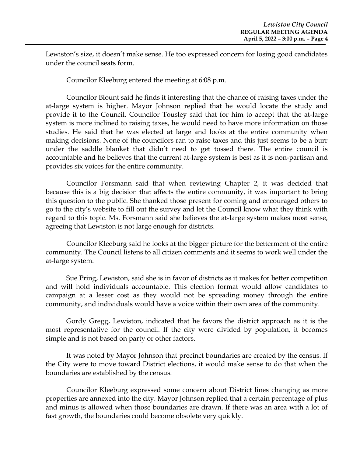Lewiston's size, it doesn't make sense. He too expressed concern for losing good candidates under the council seats form.

Councilor Kleeburg entered the meeting at 6:08 p.m.

Councilor Blount said he finds it interesting that the chance of raising taxes under the at-large system is higher. Mayor Johnson replied that he would locate the study and provide it to the Council. Councilor Tousley said that for him to accept that the at-large system is more inclined to raising taxes, he would need to have more information on those studies. He said that he was elected at large and looks at the entire community when making decisions. None of the councilors ran to raise taxes and this just seems to be a burr under the saddle blanket that didn't need to get tossed there. The entire council is accountable and he believes that the current at-large system is best as it is non-partisan and provides six voices for the entire community.

Councilor Forsmann said that when reviewing Chapter 2, it was decided that because this is a big decision that affects the entire community, it was important to bring this question to the public. She thanked those present for coming and encouraged others to go to the city's website to fill out the survey and let the Council know what they think with regard to this topic. Ms. Forsmann said she believes the at-large system makes most sense, agreeing that Lewiston is not large enough for districts.

Councilor Kleeburg said he looks at the bigger picture for the betterment of the entire community. The Council listens to all citizen comments and it seems to work well under the at-large system.

Sue Pring, Lewiston, said she is in favor of districts as it makes for better competition and will hold individuals accountable. This election format would allow candidates to campaign at a lesser cost as they would not be spreading money through the entire community, and individuals would have a voice within their own area of the community.

Gordy Gregg, Lewiston, indicated that he favors the district approach as it is the most representative for the council. If the city were divided by population, it becomes simple and is not based on party or other factors.

It was noted by Mayor Johnson that precinct boundaries are created by the census. If the City were to move toward District elections, it would make sense to do that when the boundaries are established by the census.

Councilor Kleeburg expressed some concern about District lines changing as more properties are annexed into the city. Mayor Johnson replied that a certain percentage of plus and minus is allowed when those boundaries are drawn. If there was an area with a lot of fast growth, the boundaries could become obsolete very quickly.